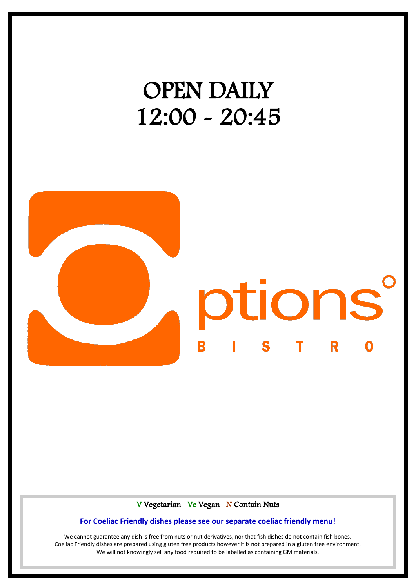# OPEN DAILY 12:00 - 20:45



#### V Vegetarian Ve Vegan N Contain Nuts

#### **For Coeliac Friendly dishes please see our separate coeliac friendly menu!**

We cannot guarantee any dish is free from nuts or nut derivatives, nor that fish dishes do not contain fish bones. Coeliac Friendly dishes are prepared using gluten free products however it is not prepared in a gluten free environment. We will not knowingly sell any food required to be labelled as containing GM materials.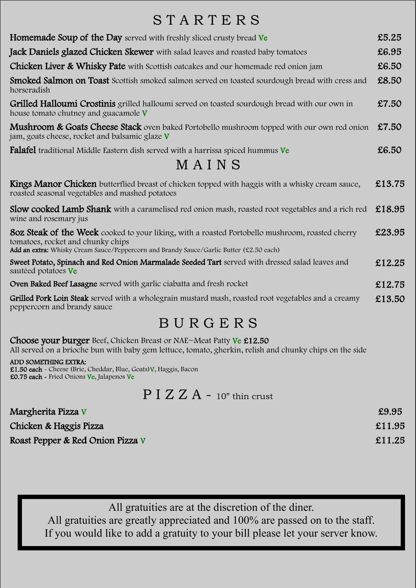### S T A R T E R S

| <b>Homemade Soup of the Day</b> served with freshly sliced crusty bread Ve                                                                                                                                                      | £5.25  |
|---------------------------------------------------------------------------------------------------------------------------------------------------------------------------------------------------------------------------------|--------|
| Jack Daniels glazed Chicken Skewer with salad leaves and roasted baby tomatoes                                                                                                                                                  | £6.95  |
| Chicken Liver & Whisky Pate with Scottish oatcakes and our homemade red onion jam                                                                                                                                               | £6.50  |
| Smoked Salmon on Toast Scottish smoked salmon served on toasted sourdough bread with cress and<br>horseradish                                                                                                                   | £8.50  |
| Grilled Halloumi Crostinis grilled halloumi served on toasted sourdough bread with our own in<br>house tomato chutney and guacamole V                                                                                           | £7.50  |
| Mushroom & Goats Cheese Stack oven baked Portobello mushroom topped with our own red onion<br>jam, goats cheese, rocket and balsamic glaze V                                                                                    | £7.50  |
| <b>Falafel</b> traditional Middle Eastern dish served with a harrissa spiced hummus Ve                                                                                                                                          | £6.50  |
| MAINS                                                                                                                                                                                                                           |        |
| Kings Manor Chicken butterflied breast of chicken topped with haggis with a whisky cream sauce,<br>roasted seasonal vegetables and mashed potatoes                                                                              | £13.75 |
| <b>Slow cooked Lamb Shank</b> with a caramelised red onion mash, roasted root vegetables and a rich red<br>wine and rosemary jus                                                                                                | £18.95 |
| 80z Steak of the Week cooked to your liking, with a roasted Portobello mushroom, roasted cherry<br>tomatoes, rocket and chunky chips<br>Add an extra: Whisky Cream Sauce/Peppercorn and Brandy Sauce/Garlic Butter (£2.50 each) | £23.95 |
| Sweet Potato, Spinach and Red Onion Marmalade Seeded Tart served with dressed salad leaves and<br>sautéed potatoes Ve                                                                                                           | £12.25 |
| Oven Baked Beef Lasagne served with garlic ciabatta and fresh rocket                                                                                                                                                            | £12.75 |
| Grilled Pork Loin Steak served with a wholegrain mustard mash, roasted root vegetables and a creamy<br>peppercorn and brandy sauce                                                                                              | £13.50 |

### B U R G E R S

Choose your burger Beef, Chicken Breast or NAE~Meat Patty Ve £12.50 All served on a brioche bun with baby gem lettuce, tomato, gherkin, relish and chunky chips on the side

ADD SOMETHING EXTRA: £1.50 each - Cheese (Brie, Cheddar, Blue, Goats)V, Haggis, Bacon £0.75 each - Fried Onions Ve, Jalapenos Ve

### P I Z Z A - 10" thin crust

| Margherita Pizza V               | £9.95  |
|----------------------------------|--------|
| Chicken & Haggis Pizza           | £11.95 |
| Roast Pepper & Red Onion Pizza V | £11.25 |

All gratuities are at the discretion of the diner.

All gratuities are greatly appreciated and 100% are passed on to the staff. If you would like to add a gratuity to your bill please let your server know.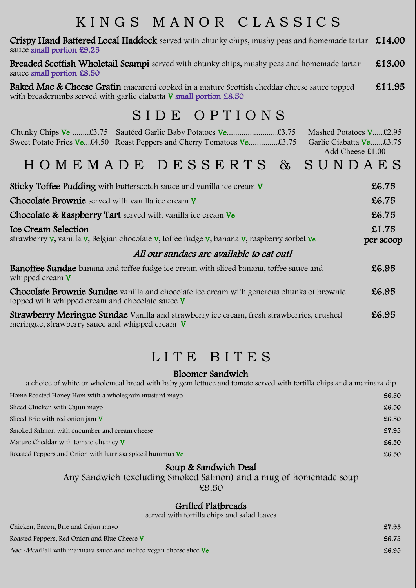### K I N G S M A N O R C L A S S I C S

Crispy Hand Battered Local Haddock served with chunky chips, mushy peas and homemade tartar  $£14.00$ sauce small portion £9.25

Breaded Scottish Wholetail Scampi served with chunky chips, mushy peas and homemade tartar sauce small portion £8.50 £13.00

Baked Mac & Cheese Gratin macaroni cooked in a mature Scottish cheddar cheese sauce topped with breadcrumbs served with garlic ciabatta V small portion £8.50 £11.95

### SIDE OPTIONS

| Mashed Potatoes V£2.95<br>Sweet Potato Fries Ve£4.50 Roast Peppers and Cherry Tomatoes Ve£3.75<br>Garlic Ciabatta Ve£3.75<br>Add Cheese £1.00      |                    |
|----------------------------------------------------------------------------------------------------------------------------------------------------|--------------------|
| HOMEMADE DESSERTS & SUNDAES                                                                                                                        |                    |
| <b>Sticky Toffee Pudding</b> with butterscotch sauce and vanilla ice cream V                                                                       | £6.75              |
| Chocolate Brownie served with vanilla ice cream V                                                                                                  | £6.75              |
| <b>Chocolate &amp; Raspberry Tart</b> served with vanilla ice cream Ve                                                                             | £6.75              |
| <b>Ice Cream Selection</b><br>strawberry V, vanilla V, Belgian chocolate V, toffee fudge V, banana V, raspberry sorbet Ve                          | £1.75<br>per scoop |
| All our sundaes are available to eat out!                                                                                                          |                    |
| <b>Banoffee Sundae</b> banana and toffee fudge ice cream with sliced banana, toffee sauce and<br>whipped cream V                                   | £6.95              |
| <b>Chocolate Brownie Sundae</b> vanilla and chocolate ice cream with generous chunks of brownie<br>topped with whipped cream and chocolate sauce V | £6.95              |

**Strawberry Meringue Sundae** Vanilla and strawberry ice cream, fresh strawberries, crushed meringue, strawberry sauce and whipped cream V £6.95

### LITE BITES

#### Bloomer Sandwich

| a choice of white or wholemeal bread with baby gem lettuce and tomato served with tortilla chips and a marinara dip |       |
|---------------------------------------------------------------------------------------------------------------------|-------|
| Home Roasted Honey Ham with a wholegrain mustard mayo                                                               | £6.50 |
| Sliced Chicken with Cajun mayo                                                                                      | £6.50 |
| Sliced Brie with red onion jam V                                                                                    | £6.50 |
| Smoked Salmon with cucumber and cream cheese                                                                        | £7.95 |
| Mature Cheddar with tomato chutney V                                                                                | £6.50 |
| Roasted Peppers and Onion with harrissa spiced hummus Ve                                                            | £6.50 |
|                                                                                                                     |       |

#### Soup & Sandwich Deal

Any Sandwich (excluding Smoked Salmon) and a mug of homemade soup

£9.50

#### Grilled Flatbreads

served with tortilla chips and salad leaves

| Chicken, Bacon, Brie and Cajun mayo                                       | £7.95 |
|---------------------------------------------------------------------------|-------|
| Roasted Peppers, Red Onion and Blue Cheese V                              | £6.75 |
| <i>Nae~Meat</i> Ball with marinara sauce and melted vegan cheese slice Ve | £6.95 |